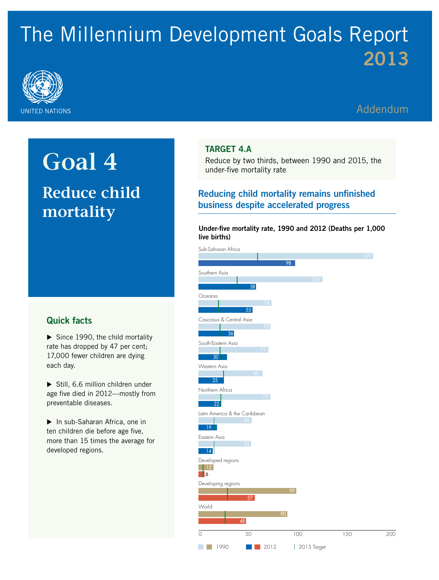# The Millennium Development Goals Report 2013



## Addendum

## **Goal 4 Reduce child mortality**

### Quick facts

 $\triangleright$  Since 1990, the child mortality rate has dropped by 47 per cent; 17,000 fewer children are dying each day.

 $\triangleright$  Still, 6.6 million children under age five died in 2012—mostly from preventable diseases.

▶ In sub-Saharan Africa, one in ten children die before age five, more than 15 times the average for developed regions.

#### Target 4.A

Reduce by two thirds, between 1990 and 2015, the under-five mortality rate

### Reducing child mortality remains unfinished business despite accelerated progress

#### Under-five mortality rate, 1990 and 2012 (Deaths per 1,000 live births)